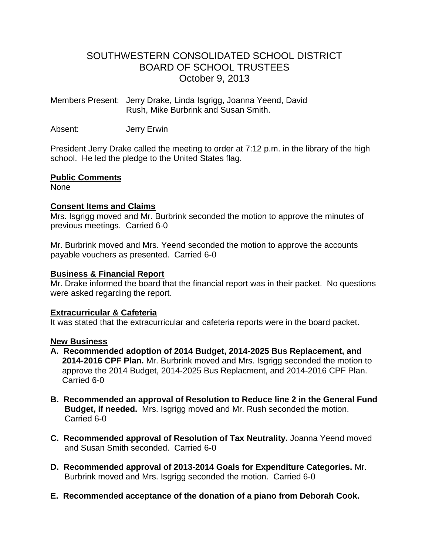# SOUTHWESTERN CONSOLIDATED SCHOOL DISTRICT BOARD OF SCHOOL TRUSTEES October 9, 2013

Members Present: Jerry Drake, Linda Isgrigg, Joanna Yeend, David Rush, Mike Burbrink and Susan Smith.

Absent: Jerry Erwin

President Jerry Drake called the meeting to order at 7:12 p.m. in the library of the high school. He led the pledge to the United States flag.

### **Public Comments**

None

#### **Consent Items and Claims**

Mrs. Isgrigg moved and Mr. Burbrink seconded the motion to approve the minutes of previous meetings. Carried 6-0

Mr. Burbrink moved and Mrs. Yeend seconded the motion to approve the accounts payable vouchers as presented. Carried 6-0

### **Business & Financial Report**

Mr. Drake informed the board that the financial report was in their packet. No questions were asked regarding the report.

### **Extracurricular & Cafeteria**

It was stated that the extracurricular and cafeteria reports were in the board packet.

#### **New Business**

- **A. Recommended adoption of 2014 Budget, 2014-2025 Bus Replacement, and 2014-2016 CPF Plan.** Mr. Burbrink moved and Mrs. Isgrigg seconded the motion to approve the 2014 Budget, 2014-2025 Bus Replacment, and 2014-2016 CPF Plan. Carried 6-0
- **B. Recommended an approval of Resolution to Reduce line 2 in the General Fund Budget, if needed.** Mrs. Isgrigg moved and Mr. Rush seconded the motion. Carried 6-0
- **C. Recommended approval of Resolution of Tax Neutrality.** Joanna Yeend moved and Susan Smith seconded. Carried 6-0
- **D. Recommended approval of 2013-2014 Goals for Expenditure Categories.** Mr. Burbrink moved and Mrs. Isgrigg seconded the motion. Carried 6-0
- **E. Recommended acceptance of the donation of a piano from Deborah Cook.**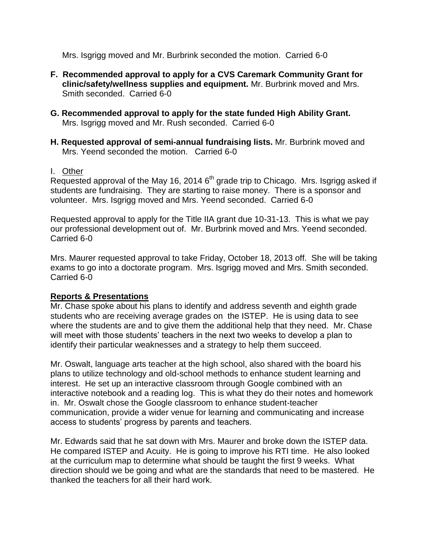Mrs. Isgrigg moved and Mr. Burbrink seconded the motion. Carried 6-0

- **F. Recommended approval to apply for a CVS Caremark Community Grant for clinic/safety/wellness supplies and equipment.** Mr. Burbrink moved and Mrs. Smith seconded. Carried 6-0
- **G. Recommended approval to apply for the state funded High Ability Grant.** Mrs. Isgrigg moved and Mr. Rush seconded. Carried 6-0
- **H. Requested approval of semi-annual fundraising lists.** Mr. Burbrink moved and Mrs. Yeend seconded the motion. Carried 6-0

### I. Other

Requested approval of the May 16, 2014  $6<sup>th</sup>$  grade trip to Chicago. Mrs. Isgrigg asked if students are fundraising. They are starting to raise money. There is a sponsor and volunteer. Mrs. Isgrigg moved and Mrs. Yeend seconded. Carried 6-0

Requested approval to apply for the Title IIA grant due 10-31-13. This is what we pay our professional development out of. Mr. Burbrink moved and Mrs. Yeend seconded. Carried 6-0

Mrs. Maurer requested approval to take Friday, October 18, 2013 off. She will be taking exams to go into a doctorate program. Mrs. Isgrigg moved and Mrs. Smith seconded. Carried 6-0

## **Reports & Presentations**

Mr. Chase spoke about his plans to identify and address seventh and eighth grade students who are receiving average grades on the ISTEP. He is using data to see where the students are and to give them the additional help that they need. Mr. Chase will meet with those students' teachers in the next two weeks to develop a plan to identify their particular weaknesses and a strategy to help them succeed.

Mr. Oswalt, language arts teacher at the high school, also shared with the board his plans to utilize technology and old-school methods to enhance student learning and interest. He set up an interactive classroom through Google combined with an interactive notebook and a reading log. This is what they do their notes and homework in. Mr. Oswalt chose the Google classroom to enhance student-teacher communication, provide a wider venue for learning and communicating and increase access to students' progress by parents and teachers.

Mr. Edwards said that he sat down with Mrs. Maurer and broke down the ISTEP data. He compared ISTEP and Acuity. He is going to improve his RTI time. He also looked at the curriculum map to determine what should be taught the first 9 weeks. What direction should we be going and what are the standards that need to be mastered. He thanked the teachers for all their hard work.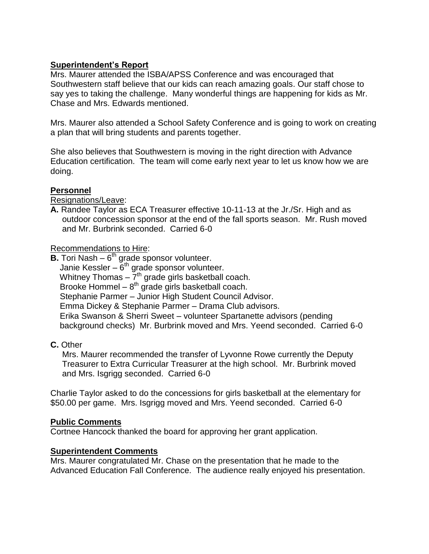## **Superintendent's Report**

Mrs. Maurer attended the ISBA/APSS Conference and was encouraged that Southwestern staff believe that our kids can reach amazing goals. Our staff chose to say yes to taking the challenge. Many wonderful things are happening for kids as Mr. Chase and Mrs. Edwards mentioned.

Mrs. Maurer also attended a School Safety Conference and is going to work on creating a plan that will bring students and parents together.

She also believes that Southwestern is moving in the right direction with Advance Education certification. The team will come early next year to let us know how we are doing.

### **Personnel**

Resignations/Leave:

**A.** Randee Taylor as ECA Treasurer effective 10-11-13 at the Jr./Sr. High and as outdoor concession sponsor at the end of the fall sports season. Mr. Rush moved and Mr. Burbrink seconded. Carried 6-0

Recommendations to Hire:

**B.** Tori Nash – 6<sup>th</sup> grade sponsor volunteer. Janie Kessler –  $6<sup>th</sup>$  grade sponsor volunteer. Whitney Thomas  $-7<sup>th</sup>$  grade girls basketball coach. Brooke Hommel  $-8<sup>th</sup>$  grade girls basketball coach. Stephanie Parmer – Junior High Student Council Advisor. Emma Dickey & Stephanie Parmer – Drama Club advisors. Erika Swanson & Sherri Sweet – volunteer Spartanette advisors (pending background checks) Mr. Burbrink moved and Mrs. Yeend seconded. Carried 6-0

### **C.** Other

 Mrs. Maurer recommended the transfer of Lyvonne Rowe currently the Deputy Treasurer to Extra Curricular Treasurer at the high school. Mr. Burbrink moved and Mrs. Isgrigg seconded. Carried 6-0

Charlie Taylor asked to do the concessions for girls basketball at the elementary for \$50.00 per game. Mrs. Isgrigg moved and Mrs. Yeend seconded. Carried 6-0

### **Public Comments**

Cortnee Hancock thanked the board for approving her grant application.

### **Superintendent Comments**

Mrs. Maurer congratulated Mr. Chase on the presentation that he made to the Advanced Education Fall Conference. The audience really enjoyed his presentation.